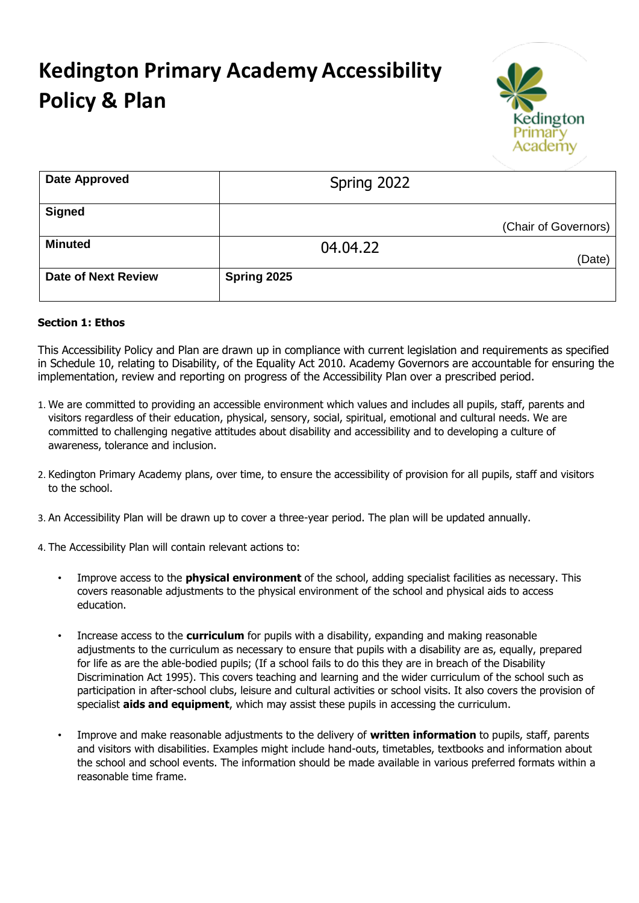## **Kedington Primary Academy Accessibility Policy & Plan**



| Date Approved              | Spring 2022 |                      |
|----------------------------|-------------|----------------------|
| <b>Signed</b>              |             | (Chair of Governors) |
| <b>Minuted</b>             | 04.04.22    | (Date)               |
| <b>Date of Next Review</b> | Spring 2025 |                      |

## **Section 1: Ethos**

This Accessibility Policy and Plan are drawn up in compliance with current legislation and requirements as specified in Schedule 10, relating to Disability, of the Equality Act 2010. Academy Governors are accountable for ensuring the implementation, review and reporting on progress of the Accessibility Plan over a prescribed period.

- 1. We are committed to providing an accessible environment which values and includes all pupils, staff, parents and visitors regardless of their education, physical, sensory, social, spiritual, emotional and cultural needs. We are committed to challenging negative attitudes about disability and accessibility and to developing a culture of awareness, tolerance and inclusion.
- 2. Kedington Primary Academy plans, over time, to ensure the accessibility of provision for all pupils, staff and visitors to the school.
- 3. An Accessibility Plan will be drawn up to cover a three-year period. The plan will be updated annually.
- 4. The Accessibility Plan will contain relevant actions to:
	- Improve access to the **physical environment** of the school, adding specialist facilities as necessary. This covers reasonable adjustments to the physical environment of the school and physical aids to access education.
	- Increase access to the **curriculum** for pupils with a disability, expanding and making reasonable adjustments to the curriculum as necessary to ensure that pupils with a disability are as, equally, prepared for life as are the able-bodied pupils; (If a school fails to do this they are in breach of the Disability Discrimination Act 1995). This covers teaching and learning and the wider curriculum of the school such as participation in after-school clubs, leisure and cultural activities or school visits. It also covers the provision of specialist **aids and equipment**, which may assist these pupils in accessing the curriculum.
	- Improve and make reasonable adjustments to the delivery of **written information** to pupils, staff, parents and visitors with disabilities. Examples might include hand-outs, timetables, textbooks and information about the school and school events. The information should be made available in various preferred formats within a reasonable time frame.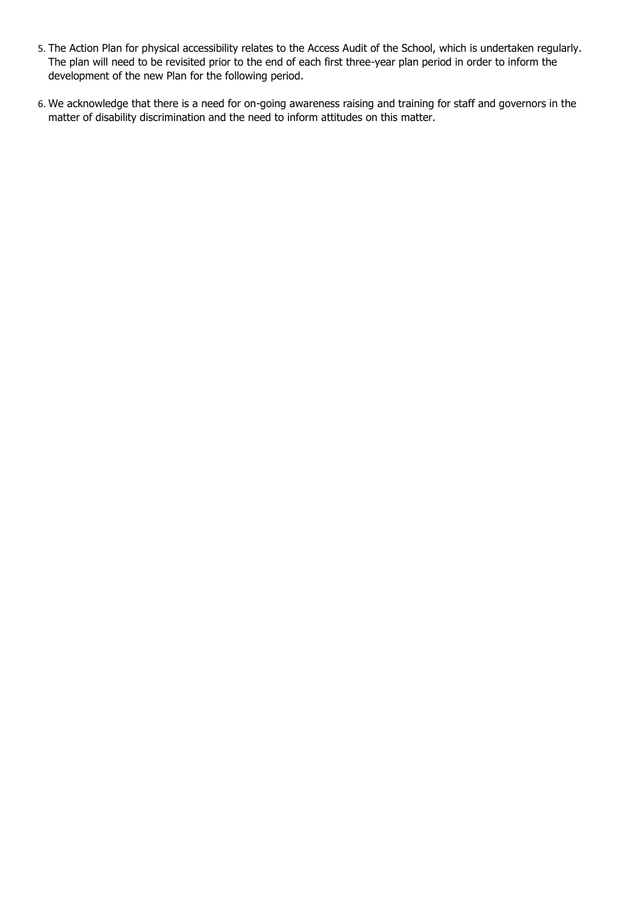- 5. The Action Plan for physical accessibility relates to the Access Audit of the School, which is undertaken regularly. The plan will need to be revisited prior to the end of each first three-year plan period in order to inform the development of the new Plan for the following period.
- 6. We acknowledge that there is a need for on-going awareness raising and training for staff and governors in the matter of disability discrimination and the need to inform attitudes on this matter.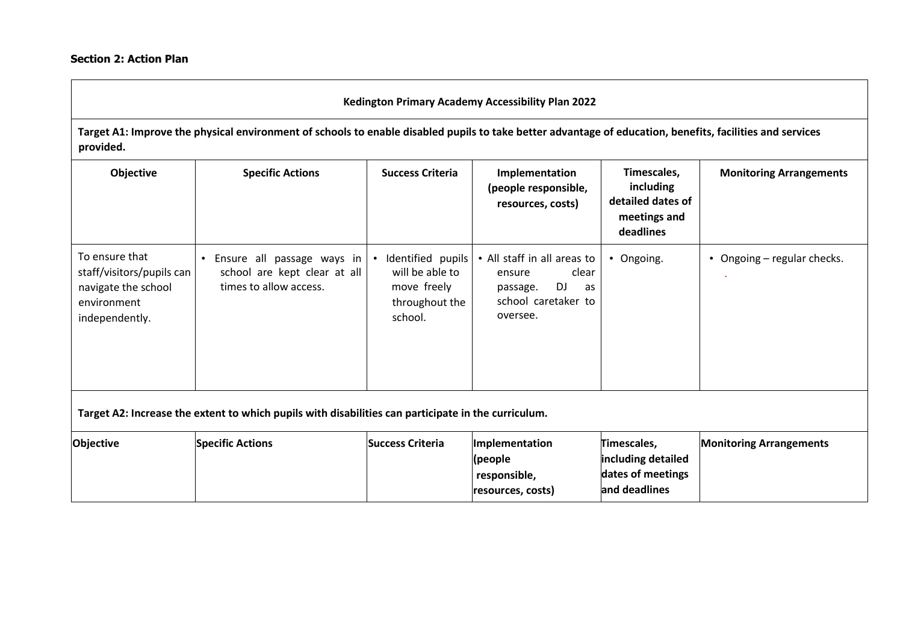## **Kedington Primary Academy Accessibility Plan 2022**

**Target A1: Improve the physical environment of schools to enable disabled pupils to take better advantage of education, benefits, facilities and services provided.** 

| Objective                                                                                           | <b>Specific Actions</b>                                                              | <b>Success Criteria</b>                                                                         | Implementation<br>(people responsible,<br>resources, costs)                                               | Timescales,<br>including<br>detailed dates of<br>meetings and<br>deadlines | <b>Monitoring Arrangements</b> |
|-----------------------------------------------------------------------------------------------------|--------------------------------------------------------------------------------------|-------------------------------------------------------------------------------------------------|-----------------------------------------------------------------------------------------------------------|----------------------------------------------------------------------------|--------------------------------|
| To ensure that<br>staff/visitors/pupils can<br>navigate the school<br>environment<br>independently. | Ensure all passage ways in<br>school are kept clear at all<br>times to allow access. | Identified pupils  <br>$\bullet$<br>will be able to<br>move freely<br>throughout the<br>school. | • All staff in all areas to<br>clear<br>ensure<br>DJ<br>passage.<br>as<br>school caretaker to<br>oversee. | • Ongoing.                                                                 | • Ongoing – regular checks.    |
| Target A2: Increase the extent to which pupils with disabilities can participate in the curriculum. |                                                                                      |                                                                                                 |                                                                                                           |                                                                            |                                |
| Objective                                                                                           | <b>Specific Actions</b>                                                              | <b>Success Criteria</b>                                                                         | Implementation<br>(people<br>responsible,<br>resources, costs)                                            | Timescales,<br>including detailed<br>dates of meetings<br>and deadlines    | <b>Monitoring Arrangements</b> |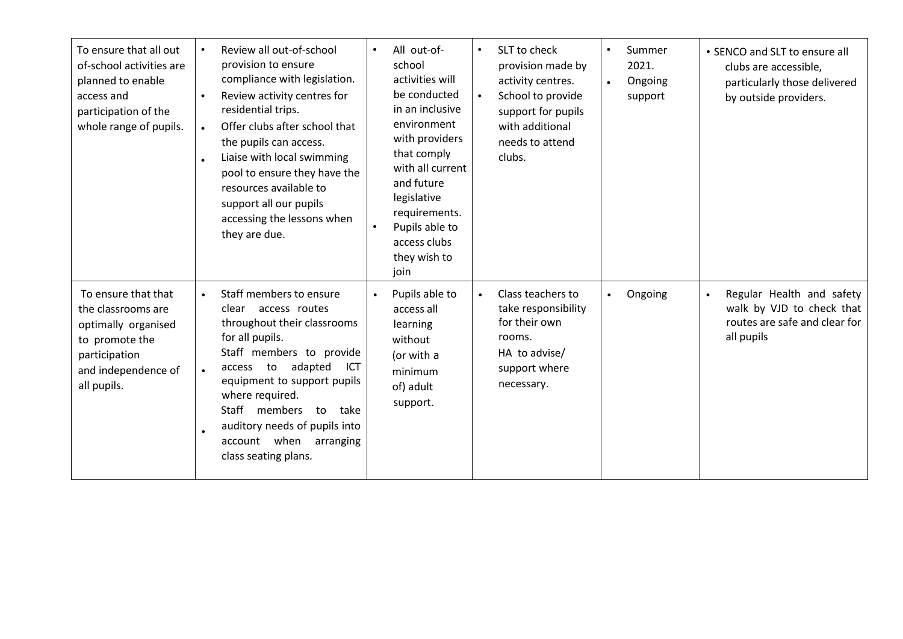| To ensure that all out<br>of-school activities are<br>planned to enable<br>access and<br>participation of the<br>whole range of pupils.   | Review all out-of-school<br>provision to ensure<br>compliance with legislation.<br>Review activity centres for<br>$\bullet$<br>residential trips.<br>Offer clubs after school that<br>$\bullet$<br>the pupils can access.<br>Liaise with local swimming<br>pool to ensure they have the<br>resources available to<br>support all our pupils<br>accessing the lessons when<br>they are due. | All out-of-<br>school<br>activities will<br>be conducted<br>in an inclusive<br>environment<br>with providers<br>that comply<br>with all current<br>and future<br>legislative<br>requirements.<br>Pupils able to<br>access clubs<br>they wish to<br>join | SLT to check<br>$\bullet$<br>provision made by<br>activity centres.<br>School to provide<br>$\bullet$<br>support for pupils<br>with additional<br>needs to attend<br>clubs. | Summer<br>$\bullet$<br>2021.<br>Ongoing<br>$\bullet$<br>support | • SENCO and SLT to ensure all<br>clubs are accessible,<br>particularly those delivered<br>by outside providers.    |
|-------------------------------------------------------------------------------------------------------------------------------------------|--------------------------------------------------------------------------------------------------------------------------------------------------------------------------------------------------------------------------------------------------------------------------------------------------------------------------------------------------------------------------------------------|---------------------------------------------------------------------------------------------------------------------------------------------------------------------------------------------------------------------------------------------------------|-----------------------------------------------------------------------------------------------------------------------------------------------------------------------------|-----------------------------------------------------------------|--------------------------------------------------------------------------------------------------------------------|
| To ensure that that<br>the classrooms are<br>optimally organised<br>to promote the<br>participation<br>and independence of<br>all pupils. | Staff members to ensure<br>$\bullet$<br>clear access routes<br>throughout their classrooms<br>for all pupils.<br>Staff members to provide<br>adapted<br>to<br>ICT<br>access<br>$\bullet$<br>equipment to support pupils<br>where required.<br>Staff<br>members<br>to<br>take<br>auditory needs of pupils into<br>account when<br>arranging<br>class seating plans.                         | Pupils able to<br>access all<br>learning<br>without<br>(or with a<br>minimum<br>of) adult<br>support.                                                                                                                                                   | Class teachers to<br>$\bullet$<br>take responsibility<br>for their own<br>rooms.<br>HA to advise/<br>support where<br>necessary.                                            | Ongoing<br>$\bullet$                                            | Regular Health and safety<br>$\bullet$<br>walk by VJD to check that<br>routes are safe and clear for<br>all pupils |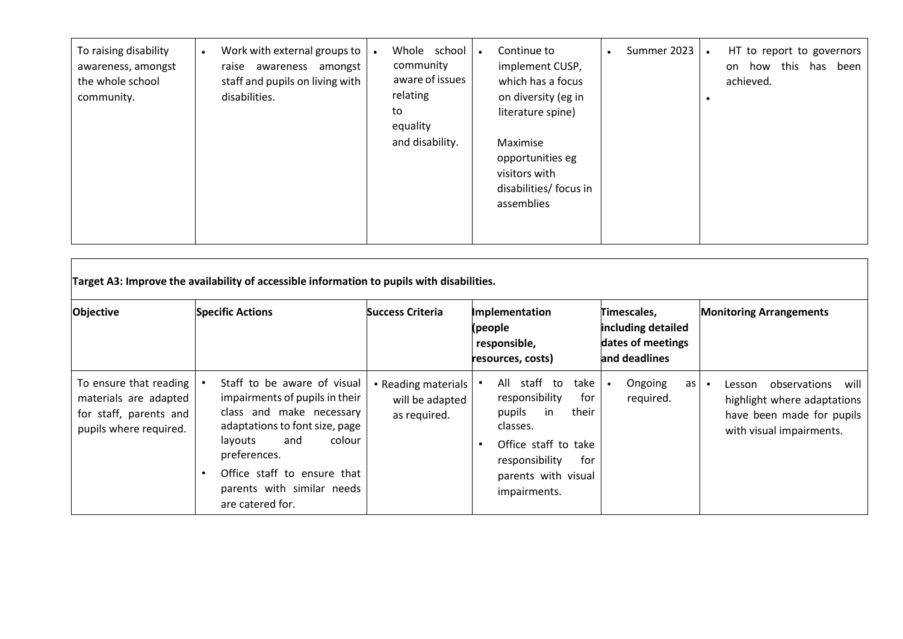| To raising disability<br>awareness, amongst<br>the whole school<br>community. | Work with external groups to<br>raise awareness amongst<br>staff and pupils on living with<br>disabilities. | Whole school<br>community<br>aware of issues<br>relating<br>to<br>equality | Continue to<br>$\bullet$<br>implement CUSP,<br>which has a focus<br>on diversity (eg in<br>literature spine) | Summer 2023 | HT to report to governors<br>how this<br>been<br>has<br>on.<br>achieved. |
|-------------------------------------------------------------------------------|-------------------------------------------------------------------------------------------------------------|----------------------------------------------------------------------------|--------------------------------------------------------------------------------------------------------------|-------------|--------------------------------------------------------------------------|
|                                                                               |                                                                                                             | and disability.                                                            | Maximise<br>opportunities eg<br>visitors with<br>disabilities/ focus in<br>assemblies                        |             |                                                                          |

| Objective                                                                                                       | <b>Specific Actions</b>                                                                                                                                                                                                                                  | <b>Success Criteria</b>                                | Implementation<br>(people<br>responsible,<br>resources, costs)                                                                                                                          | Timescales,<br>including detailed<br>dates of meetings<br>land deadlines | <b>Monitoring Arrangements</b>                                                                                   |
|-----------------------------------------------------------------------------------------------------------------|----------------------------------------------------------------------------------------------------------------------------------------------------------------------------------------------------------------------------------------------------------|--------------------------------------------------------|-----------------------------------------------------------------------------------------------------------------------------------------------------------------------------------------|--------------------------------------------------------------------------|------------------------------------------------------------------------------------------------------------------|
| To ensure that reading $\parallel$<br>materials are adapted<br>for staff, parents and<br>pupils where required. | Staff to be aware of visual<br>impairments of pupils in their<br>class and make necessary<br>adaptations to font size, page<br>colour<br>layouts<br>and<br>preferences.<br>Office staff to ensure that<br>parents with similar needs<br>are catered for. | • Reading materials<br>will be adapted<br>as required. | All staff to<br>take<br>responsibility<br>for<br>pupils<br>their<br>in<br>classes.<br>Office staff to take<br>$\bullet$<br>responsibility<br>for<br>parents with visual<br>impairments. | Ongoing<br>as l<br>required.                                             | Lesson observations will<br>highlight where adaptations<br>have been made for pupils<br>with visual impairments. |